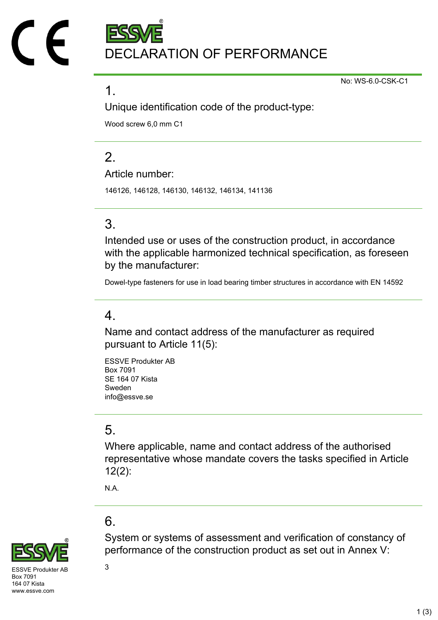DECLARATION OF PERFORMANCE

No: WS-6.0-CSK-C1

#### 1.

Unique identification code of the product-type:

Wood screw 6,0 mm C1

# $\mathcal{P}$

Article number:

146126, 146128, 146130, 146132, 146134, 141136

## 3.

Intended use or uses of the construction product, in accordance with the applicable harmonized technical specification, as foreseen by the manufacturer:

Dowel-type fasteners for use in load bearing timber structures in accordance with EN 14592

### 4.

Name and contact address of the manufacturer as required pursuant to Article 11(5):

ESSVE Produkter AB Box 7091 SE 164 07 Kista Sweden info@essve.se

## 5.

Where applicable, name and contact address of the authorised representative whose mandate covers the tasks specified in Article 12(2):

N.A.

# 6.



 $SVF$  Produkter AB  $3$ Box 7091 164 07 Kista www.essve.com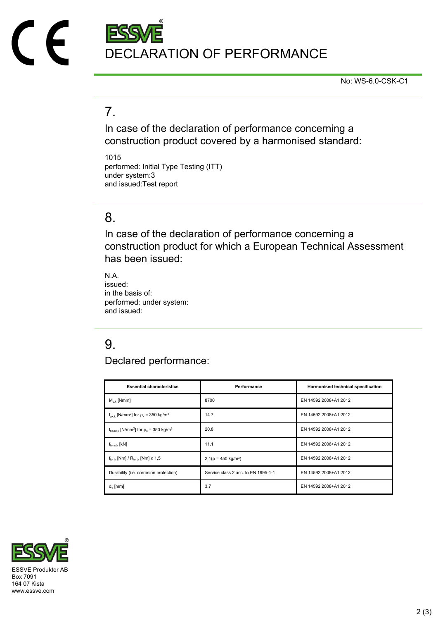

No: WS-6.0-CSK-C1

## 7.

In case of the declaration of performance concerning a construction product covered by a harmonised standard:

1015 performed: Initial Type Testing (ITT) under system:3 and issued:Test report

#### 8.

In case of the declaration of performance concerning a construction product for which a European Technical Assessment has been issued:

N.A. issued: in the basis of: performed: under system: and issued:

# 9.

Declared performance:

| <b>Essential characteristics</b>                                              | Performance                         | Harmonised technical specification |
|-------------------------------------------------------------------------------|-------------------------------------|------------------------------------|
| $M_{v k}$ [Nmm]                                                               | 8700                                | EN 14592:2008+A1:2012              |
| $f_{\text{ax k}}$ [N/mm <sup>2</sup> ] for $\rho_k$ = 350 kg/m <sup>3</sup>   | 14.7                                | EN 14592:2008+A1:2012              |
| $f_{\text{head},k}$ [N/mm <sup>2</sup> ] for $\rho_k$ = 350 kg/m <sup>3</sup> | 20.8                                | EN 14592:2008+A1:2012              |
| $f_{tens,k}$ [kN]                                                             | 11.1                                | EN 14592:2008+A1:2012              |
| $f_{\text{tor }k}$ [Nm] / $R_{\text{tor }k}$ [Nm] $\geq 1.5$                  | $2,1(p = 450 \text{ kg/m}^3)$       | EN 14592:2008+A1:2012              |
| Durability (i.e. corrosion protection)                                        | Service class 2 acc. to EN 1995-1-1 | EN 14592:2008+A1:2012              |
| $d_1$ [mm]                                                                    | 3.7                                 | EN 14592:2008+A1:2012              |



Box 7091 164 07 Kista www.essve.com